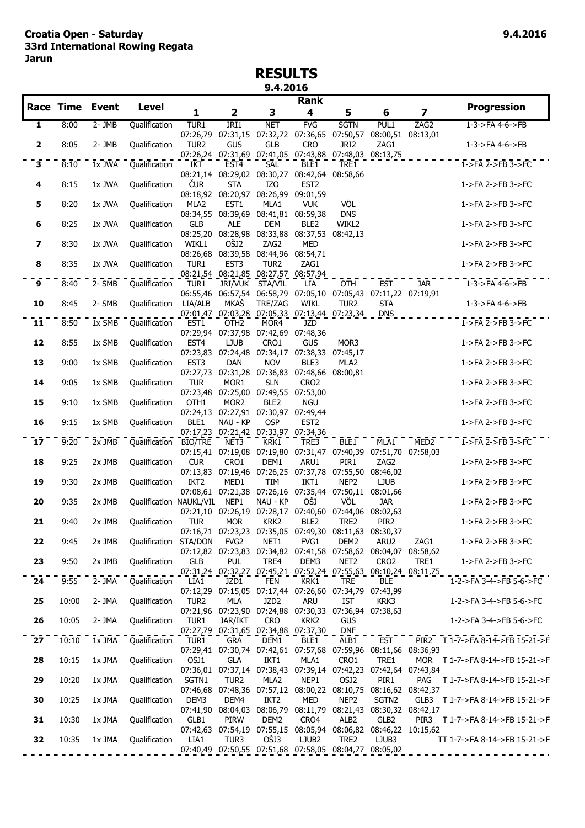## **RESULTS 9.4.2016**

|                 |       |                        |                              |                                                                     |                         |                                                         | <b>Rank</b>                                                                                                                                    |                     |                          |                         |                                  |
|-----------------|-------|------------------------|------------------------------|---------------------------------------------------------------------|-------------------------|---------------------------------------------------------|------------------------------------------------------------------------------------------------------------------------------------------------|---------------------|--------------------------|-------------------------|----------------------------------|
|                 |       | <b>Race Time Event</b> | <b>Level</b>                 | 1                                                                   | $\overline{\mathbf{2}}$ | 3                                                       | 4                                                                                                                                              | 5                   | 6                        | $\overline{\mathbf{z}}$ | <b>Progression</b>               |
| $\mathbf{1}$    | 8:00  | $2 - JMB$              | Qualification                | TUR1                                                                | JRI1                    | <b>NET</b>                                              | FVG                                                                                                                                            | <b>SGTN</b>         | PUL1                     | ZAG2                    | $1 - 3 - 5FA$ 4-6- $>$ $FB$      |
| $\mathbf 2$     | 8:05  | 2-JMB                  | Qualification                | TUR <sub>2</sub>                                                    | <b>GUS</b>              | <b>GLB</b>                                              | 07:26,79 07:31,15 07:32,72 07:36,65 07:50,57 08:00,51 08:13,01<br><b>CRO</b>                                                                   | JRI2                | ZAG1                     |                         | 1-3->FA 4-6->FB                  |
| $\overline{3}$  | 8:10  | $1x$ JWA               | Qualification                | <b>IKT</b>                                                          | EST <sub>4</sub>        | <b>SAL</b>                                              | 07:26,24 07:31,69 07:41,05 07:43,88 07:48,03 08:13,75<br>BLE1                                                                                  | TRE <sub>1</sub>    |                          |                         | $1$ ->FA $2$ ->FB $3$ ->FC       |
| 4               | 8:15  | 1x JWA                 | Qualification                | ČUR                                                                 | <b>STA</b>              | IZO<br>08:18,92 08:20,97 08:26,99 09:01,59              | 08:21,14 08:29,02 08:30,27 08:42,64 08:58,66<br>EST <sub>2</sub>                                                                               |                     |                          |                         | 1->FA 2->FB 3->FC                |
| 5               | 8:20  | 1x JWA                 | Qualification                | MLA2                                                                | EST1                    | MLA1                                                    | <b>VUK</b>                                                                                                                                     | VÖL                 |                          |                         | 1->FA 2->FB 3->FC                |
| 6               | 8:25  | 1x JWA                 | Qualification                | <b>GLB</b>                                                          | <b>ALE</b>              | 08:34,55 08:39,69 08:41,81 08:59,38<br><b>DEM</b>       | BLE <sub>2</sub>                                                                                                                               | <b>DNS</b><br>WIKL2 |                          |                         | 1->FA 2->FB 3->FC                |
| 7               | 8:30  | 1x JWA                 | Qualification                | WIKL1                                                               | OŠJ2                    | ZAG2                                                    | 08:25,20 08:28,98 08:33,88 08:37,53 08:42,13<br><b>MED</b>                                                                                     |                     |                          |                         | 1->FA 2->FB 3->FC                |
| 8               | 8:35  | 1x JWA                 | Qualification                | TUR1                                                                | EST <sub>3</sub>        | 08:26,68 08:39,58 08:44,96 08:54,71<br>TUR <sub>2</sub> | ZAG1                                                                                                                                           |                     |                          |                         | 1->FA 2->FB 3->FC                |
| $\overline{9}$  | 8:40  | $2 - 5MB$              | Qualification                | TUR1                                                                |                         | JRI/VUK STA/VIL                                         | 08:21,54 08:21,85 08:27,57 08:57,94<br>LIA<br>06:55,46 06:57,54 06:58,79 07:05,10 07:05,43 07:11,22 07:19,91                                   | <b>OTH</b>          | <b>EST</b>               | <b>JAR</b>              | $1-3$ ->FA 4-6->FB               |
| 10              | 8:45  | 2- SMB                 | Qualification                | LIA/ALB                                                             | MKAŠ                    | TRE/ZAG                                                 | WIKL<br>07:01,47 07:03,28 07:05,33 07:13,44 07:23,34                                                                                           | TUR <sub>2</sub>    | <b>STA</b><br><b>DNS</b> |                         | 1-3->FA 4-6->FB                  |
| 11              | 8:50  | 1x SMB                 | <b>Qualification</b>         | EST1                                                                | OTH <sub>2</sub>        | MOR4<br>07:29,94 07:37,98 07:42,69 07:48,36             | JZD                                                                                                                                            |                     |                          |                         | $1$ ->FA $2$ ->FB $3$ ->FC       |
| 12              | 8:55  | 1x SMB                 | Qualification                | EST4                                                                | <b>LJUB</b>             | CRO1                                                    | <b>GUS</b><br>07:23,83 07:24,48 07:34,17 07:38,33 07:45,17                                                                                     | MOR3                |                          |                         | 1->FA 2->FB 3->FC                |
| 13              | 9:00  | 1x SMB                 | Qualification                | EST <sub>3</sub>                                                    | <b>DAN</b>              | <b>NOV</b>                                              | BLE3<br>07:27,73 07:31,28 07:36,83 07:48,66 08:00,81                                                                                           | MLA2                |                          |                         | 1->FA 2->FB 3->FC                |
| 14              | 9:05  | 1x SMB                 | Qualification                | <b>TUR</b>                                                          | MOR1                    | <b>SLN</b><br>07:23,48 07:25,00 07:49,55 07:53,00       | CRO <sub>2</sub>                                                                                                                               |                     |                          |                         | 1->FA 2->FB 3->FC                |
| 15              | 9:10  | 1x SMB                 | Qualification                | OTH1                                                                | MOR <sub>2</sub>        | BLE <sub>2</sub>                                        | <b>NGU</b><br>07:24,13 07:27,91 07:30,97 07:49,44                                                                                              |                     |                          |                         | 1->FA 2->FB 3->FC                |
| 16              | 9:15  | 1x SMB                 | Qualification                | BLE1                                                                | NAU - KP                | <b>OSP</b><br>07:17,23 07:21,42 07:33,97 07:34,36       | EST <sub>2</sub>                                                                                                                               |                     |                          |                         | 1->FA 2->FB 3->FC                |
| 17              | 9:20  | $2x$ JMB               | Qualification BIO/TRE NET3   |                                                                     |                         | KRK <sub>1</sub>                                        | TRE3<br>07:15,41 07:19,08 07:19,80 07:31,47 07:40,39 07:51,70 07:58,03                                                                         | BLE1                | MIAI                     | MED <sub>2</sub>        | $1$ ->FA $2$ ->FB $3$ ->FC       |
| 18              | 9:25  | 2x JMB                 | Qualification                | ČUR                                                                 | CRO1                    | DEM1                                                    | ARU1<br>07:13,83 07:19,46 07:26,25 07:37,78 07:55,50 08:46,02                                                                                  | PIR1                | ZAG2                     |                         | 1->FA 2->FB 3->FC                |
| 19              | 9:30  | 2x JMB                 | <b>Qualification</b>         | IKT <sub>2</sub>                                                    | MED1                    | <b>TIM</b>                                              | IKT1<br>07:08,61 07:21,38 07:26,16 07:35,44 07:50,11 08:01,66                                                                                  | NEP <sub>2</sub>    | <b>LJUB</b>              |                         | 1->FA 2->FB 3->FC                |
| 20              | 9:35  | 2x JMB                 | Qualification NAUKL/VIL NEP1 |                                                                     |                         | NAU - KP                                                | OŠJ<br>07:21,10 07:26,19 07:28,17 07:40,60 07:44,06 08:02,63                                                                                   | VÖL                 | <b>JAR</b>               |                         | 1->FA 2->FB 3->FC                |
| 21              | 9:40  | 2x JMB                 | Qualification                | <b>TUR</b><br>07:16,71 07:23,23 07:35,05 07:49,30 08:11,63 08:30,37 | <b>MOR</b>              | KRK2                                                    | BLE <sub>2</sub>                                                                                                                               | TRE2                | PIR <sub>2</sub>         |                         | 1->FA 2->FB 3->FC                |
| 22              | 9:45  | 2x JMB                 | Qualification STA/DON        |                                                                     | FVG <sub>2</sub>        | NET1                                                    | FVG1                                                                                                                                           | DEM2                | ARU2                     | ZAG1                    | 1->FA 2->FB 3->FC                |
| 23              | 9:50  | 2x JMB                 | Qualification                | <b>GLB</b>                                                          | <b>PUL</b>              | TRE4                                                    | 07:12,82 07:23,83 07:34,82 07:41,58 07:58,62 08:04,07 08:58,62<br>DEM3                                                                         | NET <sub>2</sub>    | CRO <sub>2</sub>         | TRE1                    | 1->FA 2->FB 3->FC                |
| $\overline{24}$ | 9:55  | $2 - \overline{J}$ MA  | Qualification                | LIA1                                                                | JZD1                    | <b>FEN</b>                                              | 07:31,24 07:32,27 07:45,21 07:52,24 07:55,63 08:10,24 08:11,75<br>KRK1                                                                         | <b>TRE</b>          | <b>BLE</b>               |                         | 1-2->FA 3-4->FB 5-6->FC          |
| 25              | 10:00 | 2- JMA                 | Qualification                | TUR <sub>2</sub>                                                    | MLA                     | JZD <sub>2</sub>                                        | 07:12,29 07:15,05 07:17,44 07:26,60 07:34,79 07:43,99<br><b>ARU</b>                                                                            | IST                 | KRK3                     |                         | 1-2->FA 3-4->FB 5-6->FC          |
| 26              | 10:05 | 2- JMA                 | Qualification                | TUR1                                                                | <b>JAR/IKT</b>          | <b>CRO</b>                                              | 07:21,96 07:23,90 07:24,88 07:30,33 07:36,94 07:38,63<br>KRK <sub>2</sub>                                                                      | <b>GUS</b>          |                          |                         | 1-2->FA 3-4->FB 5-6->FC          |
| $\overline{27}$ | 10:10 | $1x$ JMA               | Qualification                | TUR1                                                                | <b>GRA</b>              | DEM1                                                    | 07:27,79 07:31,65 07:34,88 07:37,30<br>BLE1                                                                                                    | <b>DNF</b><br>ALB1  | EST                      |                         | PIR2 T 1-7->FA 8-14->FB 15-21->F |
| 28              | 10:15 | 1x JMA                 | Qualification                | OŠJ1                                                                | GLA                     | IKT1                                                    | 07:29,41 07:30,74 07:42,61 07:57,68 07:59,96 08:11,66 08:36,93<br>MLA1                                                                         | CRO1                | TRE1                     |                         | MOR T 1-7->FA 8-14->FB 15-21->F  |
| 29              | 10:20 | 1x JMA                 | Qualification                | SGTN1                                                               | TUR <sub>2</sub>        | MLA2                                                    | 07:36,01 07:37,14 07:38,43 07:39,14 07:42,23 07:42,64 07:43,84<br>NEP1                                                                         | OŠJ2                | PIR1                     |                         | PAG T 1-7->FA 8-14->FB 15-21->F  |
| 30              | 10:25 | 1x JMA                 | Qualification                | DEM3                                                                | DEM4                    | IKT <sub>2</sub>                                        | 07:46,68 07:48,36 07:57,12 08:00,22 08:10,75 08:16,62 08:42,37<br><b>MED</b><br>07:41,90 08:04,03 08:06,79 08:11,79 08:21,43 08:30,32 08:42,17 | NEP <sub>2</sub>    | SGTN2                    |                         | GLB3 T 1-7->FA 8-14->FB 15-21->F |
| 31              | 10:30 | 1x JMA                 | Qualification                | GLB1                                                                | PIRW                    | DEM2                                                    | CRO4                                                                                                                                           | ALB <sub>2</sub>    | GLB2                     |                         | PIR3 T 1-7->FA 8-14->FB 15-21->F |
| 32              | 10:35 | 1x JMA                 | Qualification                | LIA1                                                                | TUR3                    | OŠJ3                                                    | 07:42,63 07:54,19 07:55,15 08:05,94 08:06,82 08:46,22 10:15,62<br>LJUB <sub>2</sub>                                                            | TRE2                | LJUB3                    |                         | TT 1-7->FA 8-14->FB 15-21->F     |
|                 |       |                        |                              |                                                                     |                         |                                                         | 07:40,49 07:50,55 07:51,68 07:58,05 08:04,77 08:05,02                                                                                          |                     |                          |                         |                                  |